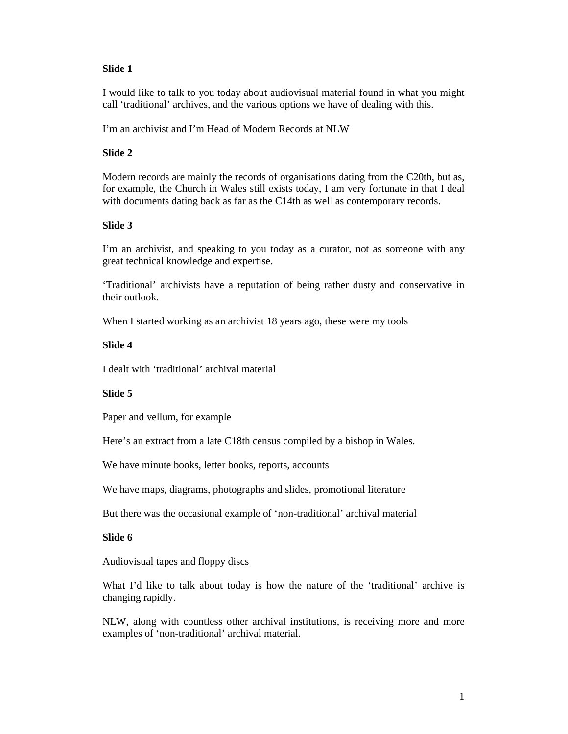I would like to talk to you today about audiovisual material found in what you might call 'traditional' archives, and the various options we have of dealing with this.

I'm an archivist and I'm Head of Modern Records at NLW

# **Slide 2**

Modern records are mainly the records of organisations dating from the C20th, but as, for example, the Church in Wales still exists today, I am very fortunate in that I deal with documents dating back as far as the C14th as well as contemporary records.

## **Slide 3**

I'm an archivist, and speaking to you today as a curator, not as someone with any great technical knowledge and expertise.

'Traditional' archivists have a reputation of being rather dusty and conservative in their outlook.

When I started working as an archivist 18 years ago, these were my tools

# **Slide 4**

I dealt with 'traditional' archival material

## **Slide 5**

Paper and vellum, for example

Here's an extract from a late C18th census compiled by a bishop in Wales.

We have minute books, letter books, reports, accounts

We have maps, diagrams, photographs and slides, promotional literature

But there was the occasional example of 'non-traditional' archival material

## **Slide 6**

Audiovisual tapes and floppy discs

What I'd like to talk about today is how the nature of the 'traditional' archive is changing rapidly.

NLW, along with countless other archival institutions, is receiving more and more examples of 'non-traditional' archival material.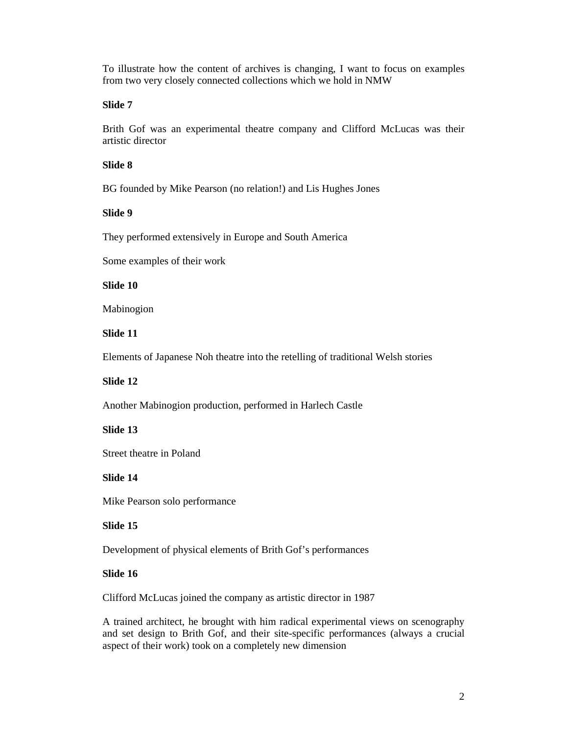To illustrate how the content of archives is changing, I want to focus on examples from two very closely connected collections which we hold in NMW

#### **Slide 7**

Brith Gof was an experimental theatre company and Clifford McLucas was their artistic director

#### **Slide 8**

BG founded by Mike Pearson (no relation!) and Lis Hughes Jones

### **Slide 9**

They performed extensively in Europe and South America

Some examples of their work

# **Slide 10**

Mabinogion

### **Slide 11**

Elements of Japanese Noh theatre into the retelling of traditional Welsh stories

## **Slide 12**

Another Mabinogion production, performed in Harlech Castle

### **Slide 13**

Street theatre in Poland

### **Slide 14**

Mike Pearson solo performance

### **Slide 15**

Development of physical elements of Brith Gof's performances

### **Slide 16**

Clifford McLucas joined the company as artistic director in 1987

A trained architect, he brought with him radical experimental views on scenography and set design to Brith Gof, and their site-specific performances (always a crucial aspect of their work) took on a completely new dimension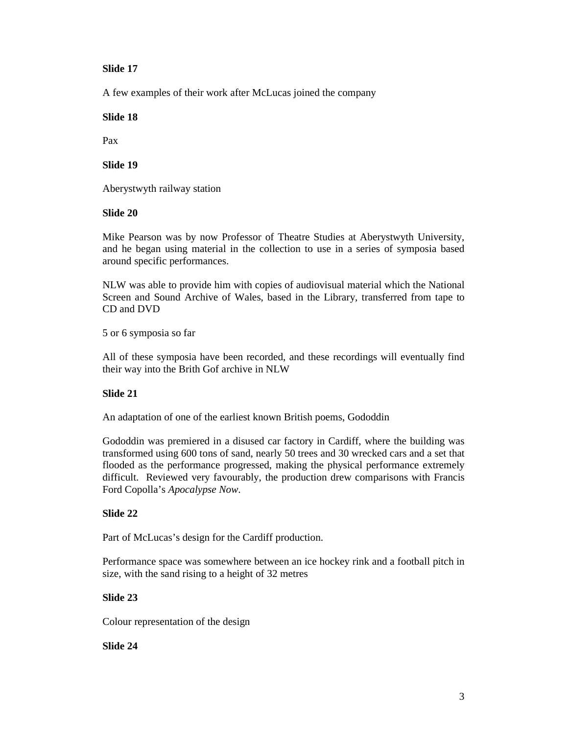A few examples of their work after McLucas joined the company

**Slide 18** 

Pax

# **Slide 19**

Aberystwyth railway station

# **Slide 20**

Mike Pearson was by now Professor of Theatre Studies at Aberystwyth University, and he began using material in the collection to use in a series of symposia based around specific performances.

NLW was able to provide him with copies of audiovisual material which the National Screen and Sound Archive of Wales, based in the Library, transferred from tape to CD and DVD

5 or 6 symposia so far

All of these symposia have been recorded, and these recordings will eventually find their way into the Brith Gof archive in NLW

# **Slide 21**

An adaptation of one of the earliest known British poems, Gododdin

Gododdin was premiered in a disused car factory in Cardiff, where the building was transformed using 600 tons of sand, nearly 50 trees and 30 wrecked cars and a set that flooded as the performance progressed, making the physical performance extremely difficult. Reviewed very favourably, the production drew comparisons with Francis Ford Copolla's *Apocalypse Now*.

# **Slide 22**

Part of McLucas's design for the Cardiff production.

Performance space was somewhere between an ice hockey rink and a football pitch in size, with the sand rising to a height of 32 metres

# **Slide 23**

Colour representation of the design

# **Slide 24**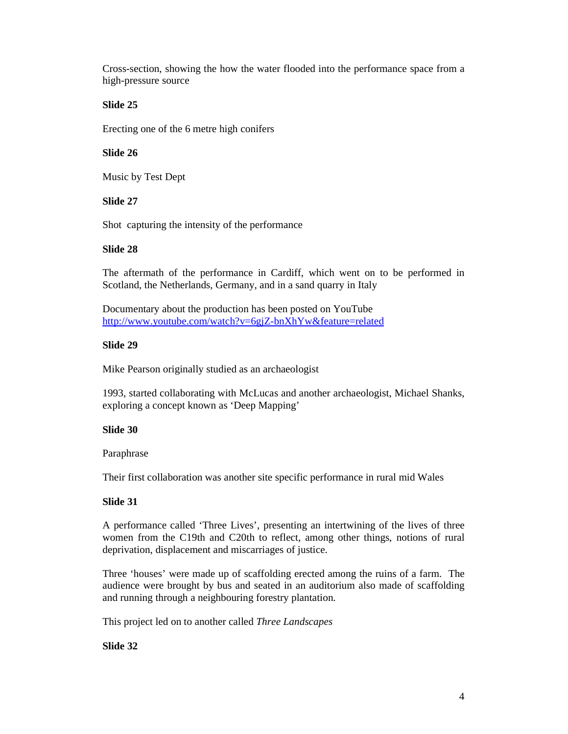Cross-section, showing the how the water flooded into the performance space from a high-pressure source

# **Slide 25**

Erecting one of the 6 metre high conifers

# **Slide 26**

Music by Test Dept

# **Slide 27**

Shot capturing the intensity of the performance

# **Slide 28**

The aftermath of the performance in Cardiff, which went on to be performed in Scotland, the Netherlands, Germany, and in a sand quarry in Italy

Documentary about the production has been posted on YouTube http://www.youtube.com/watch?v=6gjZ-bnXhYw&feature=related

# **Slide 29**

Mike Pearson originally studied as an archaeologist

1993, started collaborating with McLucas and another archaeologist, Michael Shanks, exploring a concept known as 'Deep Mapping'

## **Slide 30**

Paraphrase

Their first collaboration was another site specific performance in rural mid Wales

# **Slide 31**

A performance called 'Three Lives', presenting an intertwining of the lives of three women from the C19th and C20th to reflect, among other things, notions of rural deprivation, displacement and miscarriages of justice.

Three 'houses' were made up of scaffolding erected among the ruins of a farm. The audience were brought by bus and seated in an auditorium also made of scaffolding and running through a neighbouring forestry plantation.

This project led on to another called *Three Landscapes*

**Slide 32**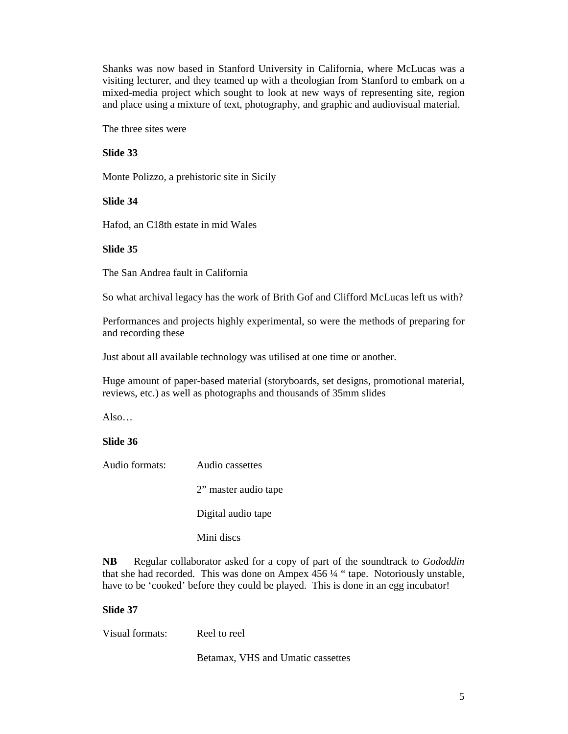Shanks was now based in Stanford University in California, where McLucas was a visiting lecturer, and they teamed up with a theologian from Stanford to embark on a mixed-media project which sought to look at new ways of representing site, region and place using a mixture of text, photography, and graphic and audiovisual material.

The three sites were

**Slide 33** 

Monte Polizzo, a prehistoric site in Sicily

**Slide 34** 

Hafod, an C18th estate in mid Wales

### **Slide 35**

The San Andrea fault in California

So what archival legacy has the work of Brith Gof and Clifford McLucas left us with?

Performances and projects highly experimental, so were the methods of preparing for and recording these

Just about all available technology was utilised at one time or another.

Huge amount of paper-based material (storyboards, set designs, promotional material, reviews, etc.) as well as photographs and thousands of 35mm slides

Also…

## **Slide 36**

|  | Audio cassettes | Audio formats: |
|--|-----------------|----------------|
|--|-----------------|----------------|

2" master audio tape

Digital audio tape

Mini discs

**NB** Regular collaborator asked for a copy of part of the soundtrack to *Gododdin* that she had recorded. This was done on Ampex 456 ¼ " tape. Notoriously unstable, have to be 'cooked' before they could be played. This is done in an egg incubator!

## **Slide 37**

Visual formats: Reel to reel

Betamax, VHS and Umatic cassettes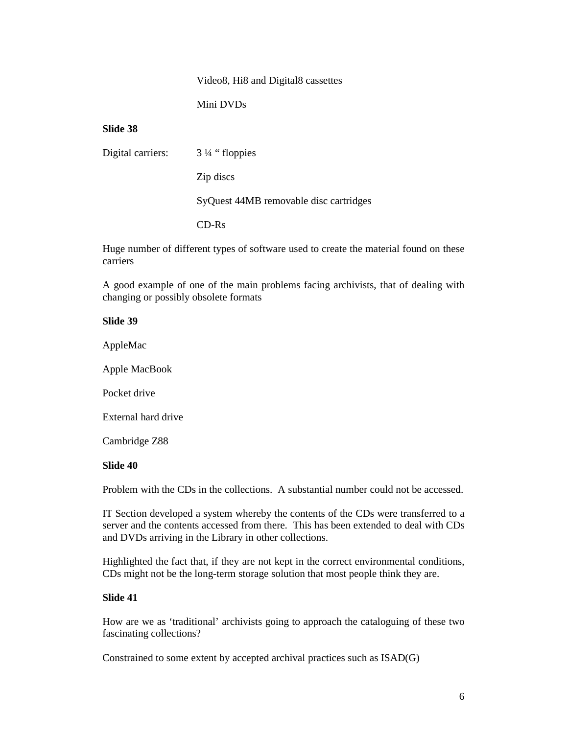### Video8, Hi8 and Digital8 cassettes

Mini DVDs

# **Slide 38**

| Digital carriers: | 3 ¼ "floppies                          |
|-------------------|----------------------------------------|
|                   | Zip discs                              |
|                   | SyQuest 44MB removable disc cartridges |
|                   | $CD-Rs$                                |

Huge number of different types of software used to create the material found on these carriers

A good example of one of the main problems facing archivists, that of dealing with changing or possibly obsolete formats

#### **Slide 39**

AppleMac

Apple MacBook

Pocket drive

External hard drive

Cambridge Z88

### **Slide 40**

Problem with the CDs in the collections. A substantial number could not be accessed.

IT Section developed a system whereby the contents of the CDs were transferred to a server and the contents accessed from there. This has been extended to deal with CDs and DVDs arriving in the Library in other collections.

Highlighted the fact that, if they are not kept in the correct environmental conditions, CDs might not be the long-term storage solution that most people think they are.

### **Slide 41**

How are we as 'traditional' archivists going to approach the cataloguing of these two fascinating collections?

Constrained to some extent by accepted archival practices such as ISAD(G)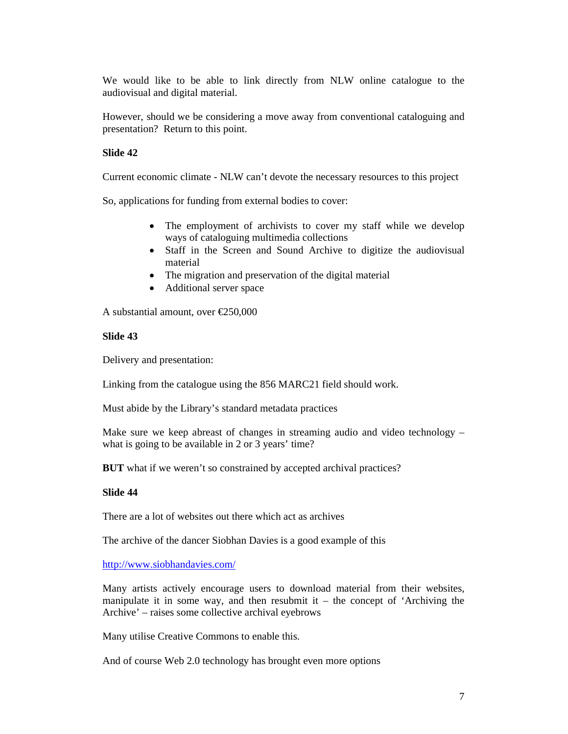We would like to be able to link directly from NLW online catalogue to the audiovisual and digital material.

However, should we be considering a move away from conventional cataloguing and presentation? Return to this point.

### **Slide 42**

Current economic climate - NLW can't devote the necessary resources to this project

So, applications for funding from external bodies to cover:

- The employment of archivists to cover my staff while we develop ways of cataloguing multimedia collections
- Staff in the Screen and Sound Archive to digitize the audiovisual material
- The migration and preservation of the digital material
- Additional server space

A substantial amount, over €250,000

### **Slide 43**

Delivery and presentation:

Linking from the catalogue using the 856 MARC21 field should work.

Must abide by the Library's standard metadata practices

Make sure we keep abreast of changes in streaming audio and video technology – what is going to be available in 2 or 3 years' time?

**BUT** what if we weren't so constrained by accepted archival practices?

### **Slide 44**

There are a lot of websites out there which act as archives

The archive of the dancer Siobhan Davies is a good example of this

#### http://www.siobhandavies.com/

Many artists actively encourage users to download material from their websites, manipulate it in some way, and then resubmit it  $-$  the concept of 'Archiving the Archive' – raises some collective archival eyebrows

Many utilise Creative Commons to enable this.

And of course Web 2.0 technology has brought even more options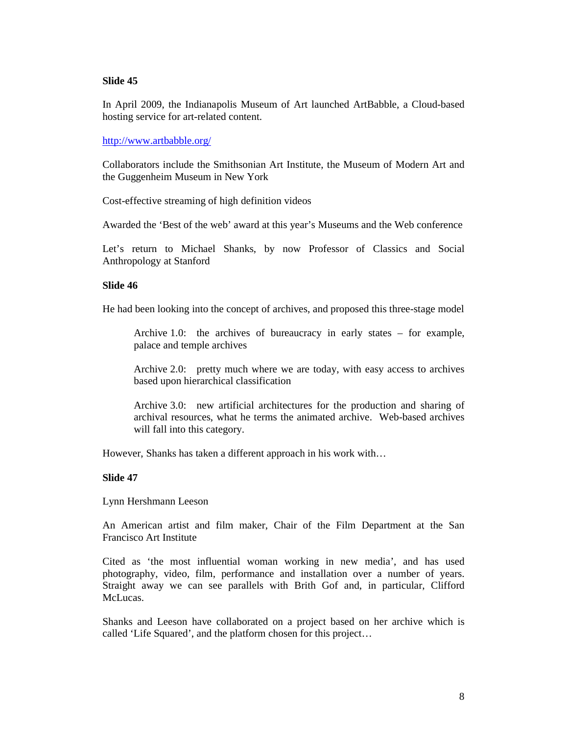In April 2009, the Indianapolis Museum of Art launched ArtBabble, a Cloud-based hosting service for art-related content.

### http://www.artbabble.org/

Collaborators include the Smithsonian Art Institute, the Museum of Modern Art and the Guggenheim Museum in New York

Cost-effective streaming of high definition videos

Awarded the 'Best of the web' award at this year's Museums and the Web conference

Let's return to Michael Shanks, by now Professor of Classics and Social Anthropology at Stanford

### **Slide 46**

He had been looking into the concept of archives, and proposed this three-stage model

Archive 1.0: the archives of bureaucracy in early states – for example, palace and temple archives

Archive 2.0: pretty much where we are today, with easy access to archives based upon hierarchical classification

Archive 3.0: new artificial architectures for the production and sharing of archival resources, what he terms the animated archive. Web-based archives will fall into this category.

However, Shanks has taken a different approach in his work with…

## **Slide 47**

Lynn Hershmann Leeson

An American artist and film maker, Chair of the Film Department at the San Francisco Art Institute

Cited as 'the most influential woman working in new media', and has used photography, video, film, performance and installation over a number of years. Straight away we can see parallels with Brith Gof and, in particular, Clifford McLucas.

Shanks and Leeson have collaborated on a project based on her archive which is called 'Life Squared', and the platform chosen for this project…